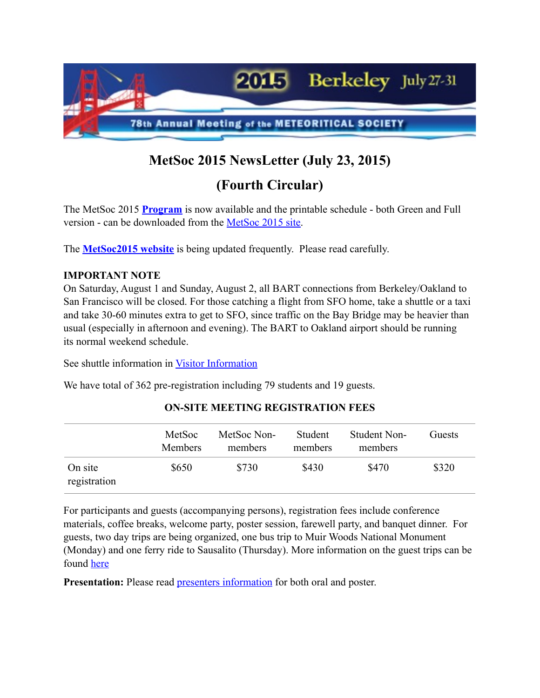

# **MetSoc 2015 NewsLetter (July 23, 2015)**

## **(Fourth Circular)**

The MetSoc 2015 **[Program](http://www.hou.usra.edu/meetings/metsoc2015/)** is now available and the printable schedule - both Green and Full version - can be downloaded from the [MetSoc 2015 site.](http://metsoc2015.ssl.berkeley.edu/program/program/)

The **[MetSoc2015 website](http://metsoc2015.ssl.berkeley.edu)** is being updated frequently. Please read carefully.

#### **IMPORTANT NOTE**

On Saturday, August 1 and Sunday, August 2, all BART connections from Berkeley/Oakland to San Francisco will be closed. For those catching a flight from SFO home, take a shuttle or a taxi and take 30-60 minutes extra to get to SFO, since traffic on the Bay Bridge may be heavier than usual (especially in afternoon and evening). The BART to Oakland airport should be running its normal weekend schedule.

See shuttle information in [Visitor Information](http://metsoc2015.ssl.berkeley.edu/about/visitor-information/)

We have total of 362 pre-registration including 79 students and 19 guests.

|                         | MetSoc<br><b>Members</b> | MetSoc Non-<br>members | Student<br>members | Student Non-<br>members | Guests |
|-------------------------|--------------------------|------------------------|--------------------|-------------------------|--------|
| On site<br>registration | \$650                    | \$730                  | \$430              | \$470                   | \$320  |

### **ON-SITE MEETING REGISTRATION FEES**

For participants and guests (accompanying persons), registration fees include conference materials, coffee breaks, welcome party, poster session, farewell party, and banquet dinner. For guests, two day trips are being organized, one bus trip to Muir Woods National Monument (Monday) and one ferry ride to Sausalito (Thursday). More information on the guest trips can be found [here](http://metsoc2015.ssl.berkeley.edu/registration/guest-trips/)

**Presentation:** Please read **presenters** information for both oral and poster.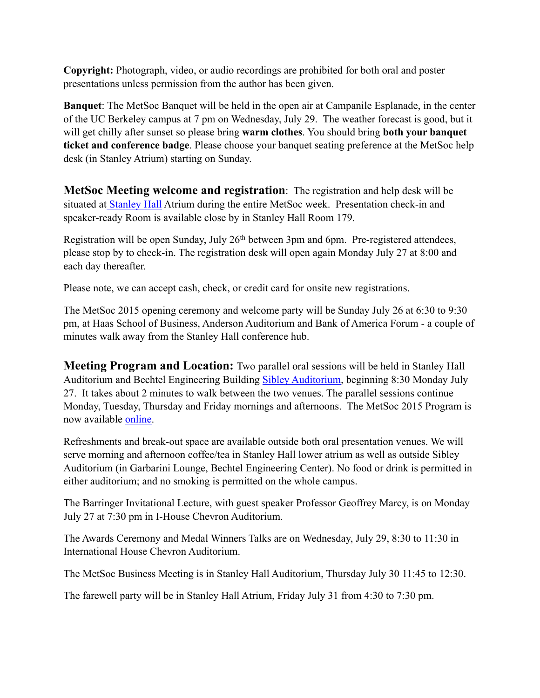**Copyright:** Photograph, video, or audio recordings are prohibited for both oral and poster presentations unless permission from the author has been given.

**Banquet**: The MetSoc Banquet will be held in the open air at Campanile Esplanade, in the center of the UC Berkeley campus at 7 pm on Wednesday, July 29. The weather forecast is good, but it will get chilly after sunset so please bring **warm clothes**. You should bring **both your banquet ticket and conference badge**. Please choose your banquet seating preference at the MetSoc help desk (in Stanley Atrium) starting on Sunday.

**MetSoc Meeting welcome and registration**: The registration and help desk will be situated at [Stanley Hall](http://metsoc2015.ssl.berkeley.edu/about/venue/) Atrium during the entire MetSoc week. Presentation check-in and speaker-ready Room is available close by in Stanley Hall Room 179.

Registration will be open Sunday, July 26<sup>th</sup> between 3pm and 6pm. Pre-registered attendees, please stop by to check-in. The registration desk will open again Monday July 27 at 8:00 and each day thereafter.

Please note, we can accept cash, check, or credit card for onsite new registrations.

The MetSoc 2015 opening ceremony and welcome party will be Sunday July 26 at 6:30 to 9:30 pm, at Haas School of Business, Anderson Auditorium and Bank of America Forum - a couple of minutes walk away from the Stanley Hall conference hub.

**Meeting Program and Location:** Two parallel oral sessions will be held in Stanley Hall Auditorium and Bechtel Engineering Building [Sibley Auditorium,](http://metsoc2015.ssl.berkeley.edu/about/venue/) beginning 8:30 Monday July 27. It takes about 2 minutes to walk between the two venues. The parallel sessions continue Monday, Tuesday, Thursday and Friday mornings and afternoons. The MetSoc 2015 Program is now available [online.](http://www.hou.usra.edu/meetings/metsoc2015/)

Refreshments and break-out space are available outside both oral presentation venues. We will serve morning and afternoon coffee/tea in Stanley Hall lower atrium as well as outside Sibley Auditorium (in Garbarini Lounge, Bechtel Engineering Center). No food or drink is permitted in either auditorium; and no smoking is permitted on the whole campus.

The Barringer Invitational Lecture, with guest speaker Professor Geoffrey Marcy, is on Monday July 27 at 7:30 pm in I-House Chevron Auditorium.

The Awards Ceremony and Medal Winners Talks are on Wednesday, July 29, 8:30 to 11:30 in International House Chevron Auditorium.

The MetSoc Business Meeting is in Stanley Hall Auditorium, Thursday July 30 11:45 to 12:30.

The farewell party will be in Stanley Hall Atrium, Friday July 31 from 4:30 to 7:30 pm.